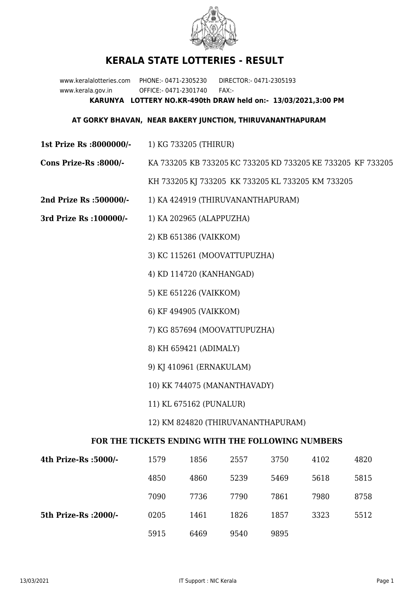

## **KERALA STATE LOTTERIES - RESULT**

www.keralalotteries.com PHONE:- 0471-2305230 DIRECTOR:- 0471-2305193 www.kerala.gov.in OFFICE:- 0471-2301740 FAX:- **KARUNYA LOTTERY NO.KR-490th DRAW held on:- 13/03/2021,3:00 PM**

## **AT GORKY BHAVAN, NEAR BAKERY JUNCTION, THIRUVANANTHAPURAM**

- **1st Prize Rs :8000000/-** 1) KG 733205 (THIRUR)
- **Cons Prize-Rs :8000/-** KA 733205 KB 733205 KC 733205 KD 733205 KE 733205 KF 733205 KH 733205 KJ 733205 KK 733205 KL 733205 KM 733205
- **2nd Prize Rs :500000/-** 1) KA 424919 (THIRUVANANTHAPURAM)
- **3rd Prize Rs :100000/-** 1) KA 202965 (ALAPPUZHA)
	- 2) KB 651386 (VAIKKOM)
	- 3) KC 115261 (MOOVATTUPUZHA)
	- 4) KD 114720 (KANHANGAD)
	- 5) KE 651226 (VAIKKOM)
	- 6) KF 494905 (VAIKKOM)
	- 7) KG 857694 (MOOVATTUPUZHA)
	- 8) KH 659421 (ADIMALY)
	- 9) KJ 410961 (ERNAKULAM)
	- 10) KK 744075 (MANANTHAVADY)
	- 11) KL 675162 (PUNALUR)
	- 12) KM 824820 (THIRUVANANTHAPURAM)

## **FOR THE TICKETS ENDING WITH THE FOLLOWING NUMBERS**

| 4th Prize-Rs :5000/-  | 1579 | 1856 | 2557 | 3750 | 4102 | 4820 |
|-----------------------|------|------|------|------|------|------|
|                       | 4850 | 4860 | 5239 | 5469 | 5618 | 5815 |
|                       | 7090 | 7736 | 7790 | 7861 | 7980 | 8758 |
| 5th Prize-Rs : 2000/- | 0205 | 1461 | 1826 | 1857 | 3323 | 5512 |
|                       | 5915 | 6469 | 9540 | 9895 |      |      |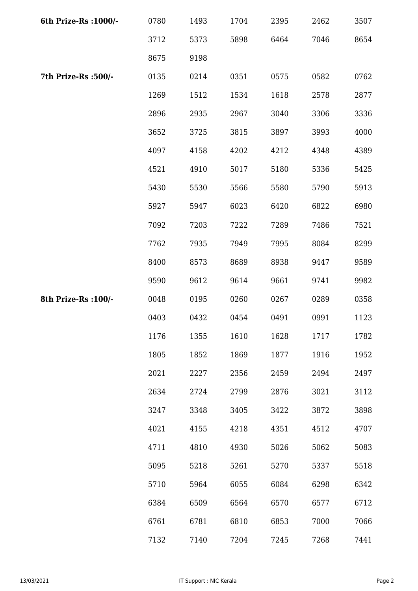| 6th Prize-Rs : 1000/- | 0780 | 1493 | 1704 | 2395 | 2462 | 3507 |
|-----------------------|------|------|------|------|------|------|
|                       | 3712 | 5373 | 5898 | 6464 | 7046 | 8654 |
|                       | 8675 | 9198 |      |      |      |      |
| 7th Prize-Rs :500/-   | 0135 | 0214 | 0351 | 0575 | 0582 | 0762 |
|                       | 1269 | 1512 | 1534 | 1618 | 2578 | 2877 |
|                       | 2896 | 2935 | 2967 | 3040 | 3306 | 3336 |
|                       | 3652 | 3725 | 3815 | 3897 | 3993 | 4000 |
|                       | 4097 | 4158 | 4202 | 4212 | 4348 | 4389 |
|                       | 4521 | 4910 | 5017 | 5180 | 5336 | 5425 |
|                       | 5430 | 5530 | 5566 | 5580 | 5790 | 5913 |
|                       | 5927 | 5947 | 6023 | 6420 | 6822 | 6980 |
|                       | 7092 | 7203 | 7222 | 7289 | 7486 | 7521 |
|                       | 7762 | 7935 | 7949 | 7995 | 8084 | 8299 |
|                       | 8400 | 8573 | 8689 | 8938 | 9447 | 9589 |
|                       | 9590 | 9612 | 9614 | 9661 | 9741 | 9982 |
| 8th Prize-Rs : 100/-  | 0048 | 0195 | 0260 | 0267 | 0289 | 0358 |
|                       | 0403 | 0432 | 0454 | 0491 | 0991 | 1123 |
|                       | 1176 | 1355 | 1610 | 1628 | 1717 | 1782 |
|                       | 1805 | 1852 | 1869 | 1877 | 1916 | 1952 |
|                       | 2021 | 2227 | 2356 | 2459 | 2494 | 2497 |
|                       | 2634 | 2724 | 2799 | 2876 | 3021 | 3112 |
|                       | 3247 | 3348 | 3405 | 3422 | 3872 | 3898 |
|                       | 4021 | 4155 | 4218 | 4351 | 4512 | 4707 |
|                       | 4711 | 4810 | 4930 | 5026 | 5062 | 5083 |
|                       | 5095 | 5218 | 5261 | 5270 | 5337 | 5518 |
|                       | 5710 | 5964 | 6055 | 6084 | 6298 | 6342 |
|                       | 6384 | 6509 | 6564 | 6570 | 6577 | 6712 |
|                       | 6761 | 6781 | 6810 | 6853 | 7000 | 7066 |
|                       | 7132 | 7140 | 7204 | 7245 | 7268 | 7441 |